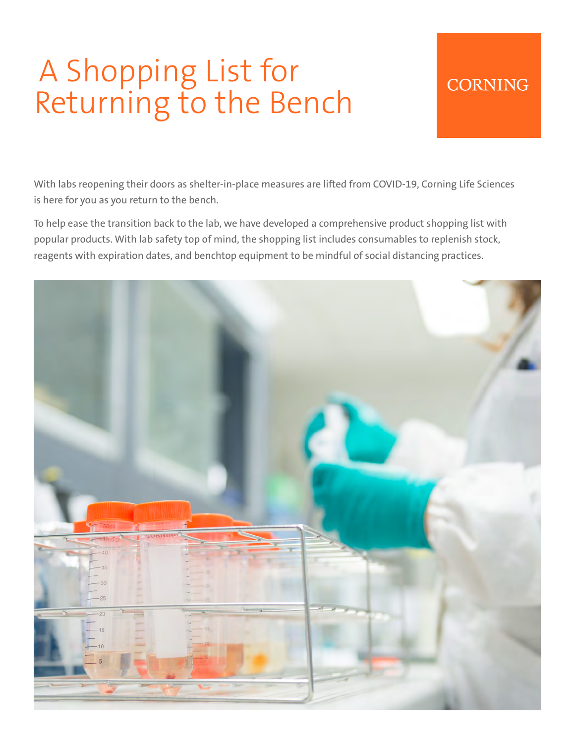# A Shopping List for Returning to the Bench

#### **CORNING**

With labs reopening their doors as shelter-in-place measures are lifted from COVID-19, Corning Life Sciences is here for you as you return to the bench.

To help ease the transition back to the lab, we have developed a comprehensive product shopping list with popular products. With lab safety top of mind, the shopping list includes consumables to replenish stock, reagents with expiration dates, and benchtop equipment to be mindful of social distancing practices.

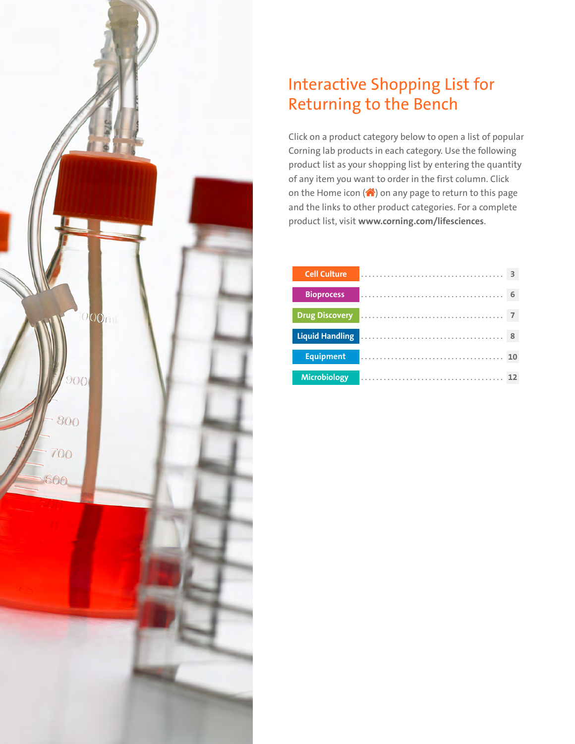

### Interactive Shopping List for Returning to the Bench

Click on a product category below to open a list of popular Corning lab products in each category. Use the following product list as your shopping list by entering the quantity of any item you want to order in the first column. Click on the Home icon  $($ <sup>(</sup>) on any page to return to this page and the links to other product categories. For a complete product list, visit **www.corning.com/lifesciences**.

| <b>Cell Culture</b>    |  |  |  |  |  |  |  |  |  |  |  |  |  |  | З  |
|------------------------|--|--|--|--|--|--|--|--|--|--|--|--|--|--|----|
|                        |  |  |  |  |  |  |  |  |  |  |  |  |  |  |    |
| <b>Bioprocess</b>      |  |  |  |  |  |  |  |  |  |  |  |  |  |  | 6  |
| <b>Drug Discovery</b>  |  |  |  |  |  |  |  |  |  |  |  |  |  |  |    |
|                        |  |  |  |  |  |  |  |  |  |  |  |  |  |  |    |
| <b>Liquid Handling</b> |  |  |  |  |  |  |  |  |  |  |  |  |  |  | 8  |
|                        |  |  |  |  |  |  |  |  |  |  |  |  |  |  |    |
| <b>Equipment</b>       |  |  |  |  |  |  |  |  |  |  |  |  |  |  |    |
|                        |  |  |  |  |  |  |  |  |  |  |  |  |  |  |    |
| <b>Microbiology</b>    |  |  |  |  |  |  |  |  |  |  |  |  |  |  | 12 |
|                        |  |  |  |  |  |  |  |  |  |  |  |  |  |  |    |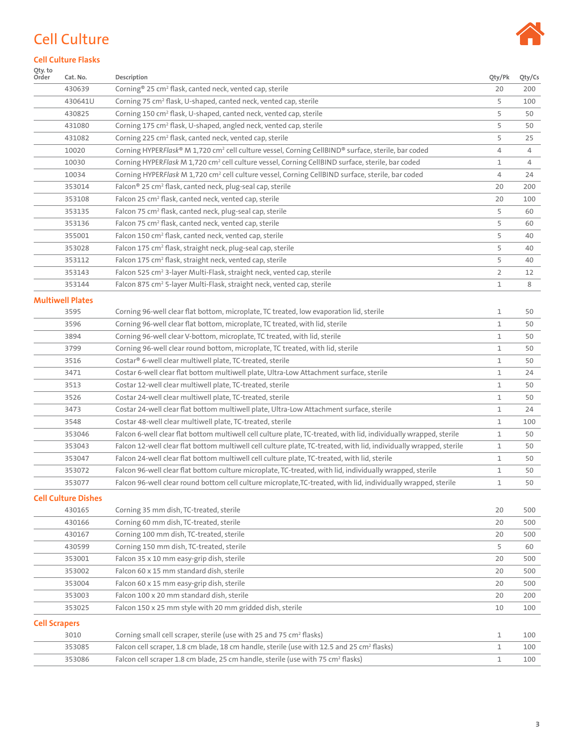### <span id="page-2-0"></span>Cell Culture



#### **Cell Culture Flasks**

| Qty. to<br>Order     | Cat. No.                   | Description                                                                                                        | Qty/Pk      | Qty/Cs |
|----------------------|----------------------------|--------------------------------------------------------------------------------------------------------------------|-------------|--------|
|                      | 430639                     | Corning <sup>®</sup> 25 cm <sup>2</sup> flask, canted neck, vented cap, sterile                                    | 20          | 200    |
|                      | 430641U                    | Corning 75 cm <sup>2</sup> flask, U-shaped, canted neck, vented cap, sterile                                       | 5           | 100    |
|                      | 430825                     | Corning 150 cm <sup>2</sup> flask, U-shaped, canted neck, vented cap, sterile                                      | 5           | 50     |
|                      | 431080                     | Corning 175 cm <sup>2</sup> flask, U-shaped, angled neck, vented cap, sterile                                      | 5           | 50     |
|                      | 431082                     | Corning 225 cm <sup>2</sup> flask, canted neck, vented cap, sterile                                                | 5           | 25     |
|                      | 10020                      | Corning HYPERFlask® M 1,720 cm <sup>2</sup> cell culture vessel, Corning CellBIND® surface, sterile, bar coded     | 4           | 4      |
|                      | 10030                      | Corning HYPERFlask M 1,720 cm <sup>2</sup> cell culture vessel, Corning CellBIND surface, sterile, bar coded       | 1           | 4      |
|                      | 10034                      | Corning HYPERFlask M 1,720 cm <sup>2</sup> cell culture vessel, Corning CellBIND surface, sterile, bar coded       | 4           | 24     |
|                      | 353014                     | Falcon <sup>®</sup> 25 cm <sup>2</sup> flask, canted neck, plug-seal cap, sterile                                  | 20          | 200    |
|                      | 353108                     | Falcon 25 cm <sup>2</sup> flask, canted neck, vented cap, sterile                                                  | 20          | 100    |
|                      | 353135                     | Falcon 75 cm <sup>2</sup> flask, canted neck, plug-seal cap, sterile                                               | 5           | 60     |
|                      | 353136                     | Falcon 75 cm <sup>2</sup> flask, canted neck, vented cap, sterile                                                  | 5           | 60     |
|                      | 355001                     | Falcon 150 cm <sup>2</sup> flask, canted neck, vented cap, sterile                                                 | 5           | 40     |
|                      | 353028                     | Falcon 175 cm <sup>2</sup> flask, straight neck, plug-seal cap, sterile                                            | 5           | 40     |
|                      | 353112                     | Falcon 175 cm <sup>2</sup> flask, straight neck, vented cap, sterile                                               | 5           | 40     |
|                      | 353143                     | Falcon 525 cm <sup>2</sup> 3-layer Multi-Flask, straight neck, vented cap, sterile                                 | 2           | 12     |
|                      | 353144                     | Falcon 875 cm <sup>2</sup> 5-layer Multi-Flask, straight neck, vented cap, sterile                                 | 1           | 8      |
|                      | <b>Multiwell Plates</b>    |                                                                                                                    |             |        |
|                      | 3595                       | Corning 96-well clear flat bottom, microplate, TC treated, low evaporation lid, sterile                            | 1           | 50     |
|                      | 3596                       | Corning 96-well clear flat bottom, microplate, TC treated, with lid, sterile                                       | $\mathbf 1$ | 50     |
|                      | 3894                       | Corning 96-well clear V-bottom, microplate, TC treated, with lid, sterile                                          | 1           | 50     |
|                      | 3799                       | Corning 96-well clear round bottom, microplate, TC treated, with lid, sterile                                      | 1           | 50     |
|                      | 3516                       | Costar® 6-well clear multiwell plate, TC-treated, sterile                                                          | 1           | 50     |
|                      | 3471                       | Costar 6-well clear flat bottom multiwell plate, Ultra-Low Attachment surface, sterile                             | 1           | 24     |
|                      | 3513                       | Costar 12-well clear multiwell plate, TC-treated, sterile                                                          | 1           | 50     |
|                      | 3526                       | Costar 24-well clear multiwell plate, TC-treated, sterile                                                          | 1           | 50     |
|                      | 3473                       | Costar 24-well clear flat bottom multiwell plate, Ultra-Low Attachment surface, sterile                            | 1           | 24     |
|                      | 3548                       | Costar 48-well clear multiwell plate, TC-treated, sterile                                                          | 1           | 100    |
|                      | 353046                     | Falcon 6-well clear flat bottom multiwell cell culture plate, TC-treated, with lid, individually wrapped, sterile  | 1           | 50     |
|                      | 353043                     | Falcon 12-well clear flat bottom multiwell cell culture plate, TC-treated, with lid, individually wrapped, sterile | 1           | 50     |
|                      | 353047                     | Falcon 24-well clear flat bottom multiwell cell culture plate, TC-treated, with lid, sterile                       | 1           | 50     |
|                      | 353072                     | Falcon 96-well clear flat bottom culture microplate, TC-treated, with lid, individually wrapped, sterile           | 1           | 50     |
|                      | 353077                     | Falcon 96-well clear round bottom cell culture microplate, TC-treated, with lid, individually wrapped, sterile     | 1           | 50     |
|                      |                            |                                                                                                                    |             |        |
|                      | <b>Cell Culture Dishes</b> |                                                                                                                    |             |        |
|                      | 430165                     | Corning 35 mm dish, TC-treated, sterile                                                                            | 20          | 500    |
|                      | 430166                     | Corning 60 mm dish, TC-treated, sterile                                                                            | 20          | 500    |
|                      | 430167                     | Corning 100 mm dish, TC-treated, sterile                                                                           | 20          | 500    |
|                      | 430599                     | Corning 150 mm dish, TC-treated, sterile                                                                           | 5           | 60     |
|                      | 353001                     | Falcon 35 x 10 mm easy-grip dish, sterile                                                                          | 20          | 500    |
|                      | 353002                     | Falcon 60 x 15 mm standard dish, sterile                                                                           | 20          | 500    |
|                      | 353004                     | Falcon 60 x 15 mm easy-grip dish, sterile                                                                          | 20          | 500    |
|                      | 353003                     | Falcon 100 x 20 mm standard dish, sterile                                                                          | 20          | 200    |
|                      | 353025                     | Falcon 150 x 25 mm style with 20 mm gridded dish, sterile                                                          | 10          | 100    |
| <b>Cell Scrapers</b> |                            |                                                                                                                    |             |        |
|                      | 3010                       | Corning small cell scraper, sterile (use with 25 and 75 cm <sup>2</sup> flasks)                                    | 1           | 100    |
|                      | 353085                     | Falcon cell scraper, 1.8 cm blade, 18 cm handle, sterile (use with 12.5 and 25 cm <sup>2</sup> flasks)             | 1           | 100    |
|                      | 353086                     | Falcon cell scraper 1.8 cm blade, 25 cm handle, sterile (use with 75 cm <sup>2</sup> flasks)                       | 1           | 100    |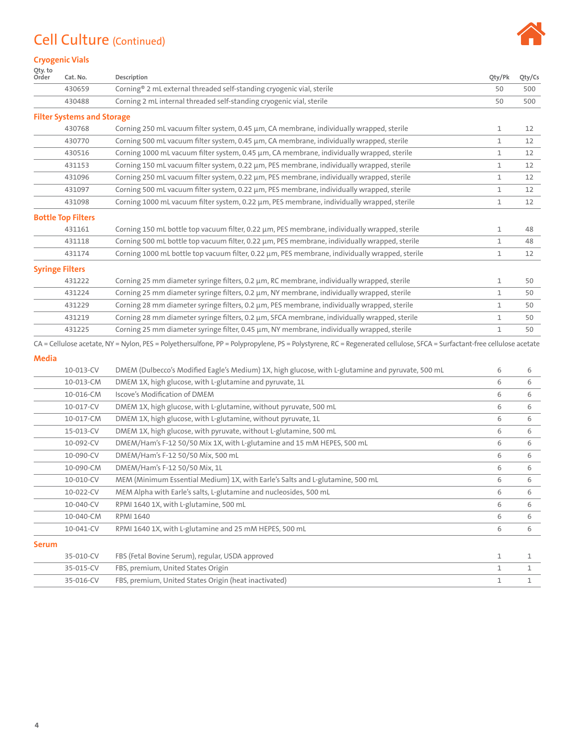# Cell Culture (Continued)



#### **Cryogenic Vials**

| Qty. to<br>Order | Cat. No.                          | Description                                                                                                                                                            | Qty/Pk       | Qty/Cs       |
|------------------|-----------------------------------|------------------------------------------------------------------------------------------------------------------------------------------------------------------------|--------------|--------------|
|                  | 430659                            | Corning® 2 mL external threaded self-standing cryogenic vial, sterile                                                                                                  | 50           | 500          |
|                  | 430488                            | Corning 2 mL internal threaded self-standing cryogenic vial, sterile                                                                                                   | 50           | 500          |
|                  | <b>Filter Systems and Storage</b> |                                                                                                                                                                        |              |              |
|                  | 430768                            | Corning 250 mL vacuum filter system, 0.45 µm, CA membrane, individually wrapped, sterile                                                                               | 1            | 12           |
|                  | 430770                            | Corning 500 mL vacuum filter system, 0.45 µm, CA membrane, individually wrapped, sterile                                                                               | $\mathbf{1}$ | 12           |
|                  | 430516                            | Corning 1000 mL vacuum filter system, 0.45 µm, CA membrane, individually wrapped, sterile                                                                              | 1            | 12           |
|                  | 431153                            | Corning 150 mL vacuum filter system, 0.22 µm, PES membrane, individually wrapped, sterile                                                                              | 1            | 12           |
|                  | 431096                            | Corning 250 mL vacuum filter system, 0.22 µm, PES membrane, individually wrapped, sterile                                                                              | 1            | 12           |
|                  | 431097                            | Corning 500 mL vacuum filter system, 0.22 µm, PES membrane, individually wrapped, sterile                                                                              | 1            | 12           |
|                  | 431098                            | Corning 1000 mL vacuum filter system, 0.22 μm, PES membrane, individually wrapped, sterile                                                                             | 1            | 12           |
|                  | <b>Bottle Top Filters</b>         |                                                                                                                                                                        |              |              |
|                  | 431161                            | Corning 150 mL bottle top vacuum filter, 0.22 µm, PES membrane, individually wrapped, sterile                                                                          | 1            | 48           |
|                  | 431118                            | Corning 500 mL bottle top vacuum filter, 0.22 µm, PES membrane, individually wrapped, sterile                                                                          | 1            | 48           |
|                  | 431174                            | Corning 1000 mL bottle top vacuum filter, 0.22 µm, PES membrane, individually wrapped, sterile                                                                         | $\mathbf{1}$ | 12           |
|                  | <b>Syringe Filters</b>            |                                                                                                                                                                        |              |              |
|                  | 431222                            | Corning 25 mm diameter syringe filters, 0.2 µm, RC membrane, individually wrapped, sterile                                                                             | 1            | 50           |
|                  | 431224                            | Corning 25 mm diameter syringe filters, 0.2 µm, NY membrane, individually wrapped, sterile                                                                             | $\mathbf 1$  | 50           |
|                  | 431229                            | Corning 28 mm diameter syringe filters, 0.2 µm, PES membrane, individually wrapped, sterile                                                                            | 1            | 50           |
|                  | 431219                            | Corning 28 mm diameter syringe filters, 0.2 µm, SFCA membrane, individually wrapped, sterile                                                                           | 1            | 50           |
|                  | 431225                            | Corning 25 mm diameter syringe filter, 0.45 µm, NY membrane, individually wrapped, sterile                                                                             | 1            | 50           |
|                  |                                   | CA = Cellulose acetate, NY = Nylon, PES = Polyethersulfone, PP = Polypropylene, PS = Polystyrene, RC = Regenerated cellulose, SFCA = Surfactant-free cellulose acetate |              |              |
| <b>Media</b>     |                                   |                                                                                                                                                                        |              |              |
|                  | 10-013-CV                         | DMEM (Dulbecco's Modified Eagle's Medium) 1X, high glucose, with L-glutamine and pyruvate, 500 mL                                                                      | 6            | 6            |
|                  | 10-013-CM                         | DMEM 1X, high glucose, with L-glutamine and pyruvate, 1L                                                                                                               | 6            | 6            |
|                  | 10-016-CM                         | Iscove's Modification of DMEM                                                                                                                                          | 6            | 6            |
|                  | 10-017-CV                         | DMEM 1X, high glucose, with L-glutamine, without pyruvate, 500 mL                                                                                                      | 6            | 6            |
|                  | 10-017-CM                         | DMEM 1X, high glucose, with L-glutamine, without pyruvate, 1L                                                                                                          | 6            | 6            |
|                  | 15-013-CV                         | DMEM 1X, high glucose, with pyruvate, without L-glutamine, 500 mL                                                                                                      | 6            | 6            |
|                  | 10-092-CV                         | DMEM/Ham's F-12 50/50 Mix 1X, with L-glutamine and 15 mM HEPES, 500 mL                                                                                                 | 6            | 6            |
|                  | 10-090-CV                         | DMEM/Ham's F-12 50/50 Mix, 500 mL                                                                                                                                      | 6            | 6            |
|                  | 10-090-CM                         | DMEM/Ham's F-12 50/50 Mix, 1L                                                                                                                                          | 6            | 6            |
|                  | 10-010-CV                         | MEM (Minimum Essential Medium) 1X, with Earle's Salts and L-glutamine, 500 mL                                                                                          | 6            | 6            |
|                  | 10-022-CV                         | MEM Alpha with Earle's salts, L-glutamine and nucleosides, 500 mL                                                                                                      | 6            | 6            |
|                  | 10-040-CV                         | RPMI 1640 1X, with L-glutamine, 500 mL                                                                                                                                 | 6            | 6            |
|                  | 10-040-CM                         | RPMI 1640                                                                                                                                                              | 6            | 6            |
|                  | 10-041-CV                         | RPMI 1640 1X, with L-glutamine and 25 mM HEPES, 500 mL                                                                                                                 | 6            | 6            |
| <b>Serum</b>     |                                   |                                                                                                                                                                        |              |              |
|                  | 35-010-CV                         | FBS (Fetal Bovine Serum), regular, USDA approved                                                                                                                       | 1            | 1            |
|                  | 35-015-CV                         | FBS, premium, United States Origin                                                                                                                                     | 1            | 1            |
|                  | 35-016-CV                         | FBS, premium, United States Origin (heat inactivated)                                                                                                                  | 1            | $\mathbf{1}$ |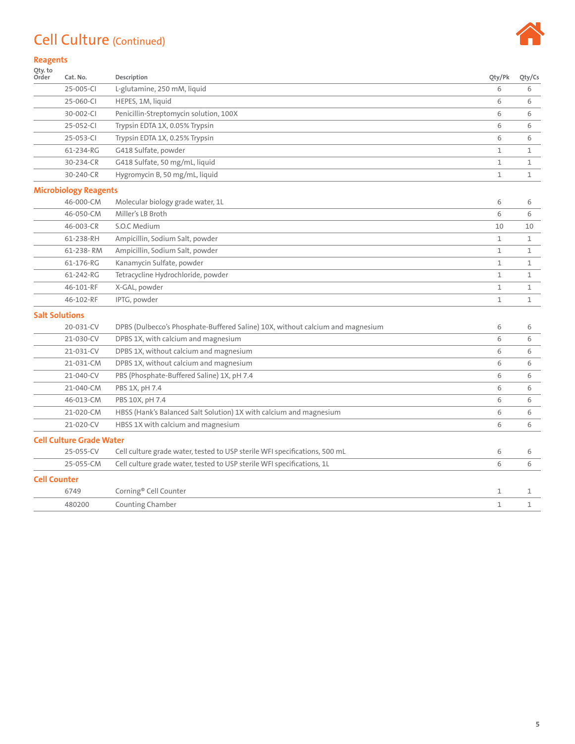#### Cell Culture (Continued)



#### **Reagents**

| Qty. to<br>Order    | Cat. No.                        | Description                                                                    | Oty/Pk       | Qty/Cs       |
|---------------------|---------------------------------|--------------------------------------------------------------------------------|--------------|--------------|
|                     | 25-005-CI                       | L-glutamine, 250 mM, liquid                                                    | 6            | 6            |
|                     | 25-060-CI                       | HEPES, 1M, liquid                                                              | 6            | 6            |
|                     | 30-002-CI                       | Penicillin-Streptomycin solution, 100X                                         | 6            | 6            |
|                     | 25-052-CI                       | Trypsin EDTA 1X, 0.05% Trypsin                                                 | 6            | 6            |
|                     | 25-053-CI                       | Trypsin EDTA 1X, 0.25% Trypsin                                                 | 6            | 6            |
|                     | 61-234-RG                       | G418 Sulfate, powder                                                           | $\mathbf 1$  | 1            |
|                     | 30-234-CR                       | G418 Sulfate, 50 mg/mL, liquid                                                 | 1            | 1            |
|                     | 30-240-CR                       | Hygromycin B, 50 mg/mL, liquid                                                 | 1            | 1            |
|                     | <b>Microbiology Reagents</b>    |                                                                                |              |              |
|                     | 46-000-CM                       | Molecular biology grade water, 1L                                              | 6            | 6            |
|                     | 46-050-CM                       | Miller's LB Broth                                                              | 6            | 6            |
|                     | 46-003-CR                       | S.O.C Medium                                                                   | 10           | 10           |
|                     | 61-238-RH                       | Ampicillin, Sodium Salt, powder                                                | 1            | 1            |
|                     | 61-238-RM                       | Ampicillin, Sodium Salt, powder                                                | $\mathbf{1}$ | $\mathbf{1}$ |
|                     | 61-176-RG                       | Kanamycin Sulfate, powder                                                      | $\mathbf{1}$ | 1            |
|                     | 61-242-RG                       | Tetracycline Hydrochloride, powder                                             | $\mathbf{1}$ | 1            |
|                     | 46-101-RF                       | X-GAL, powder                                                                  | 1            | 1            |
|                     | 46-102-RF                       | IPTG, powder                                                                   | 1            | 1            |
|                     | <b>Salt Solutions</b>           |                                                                                |              |              |
|                     | 20-031-CV                       | DPBS (Dulbecco's Phosphate-Buffered Saline) 10X, without calcium and magnesium | 6            | 6            |
|                     | 21-030-CV                       | DPBS 1X, with calcium and magnesium                                            | 6            | 6            |
|                     | 21-031-CV                       | DPBS 1X, without calcium and magnesium                                         | 6            | 6            |
|                     | 21-031-CM                       | DPBS 1X, without calcium and magnesium                                         | 6            | 6            |
|                     | 21-040-CV                       | PBS (Phosphate-Buffered Saline) 1X, pH 7.4                                     | 6            | 6            |
|                     | 21-040-CM                       | PBS 1X, pH 7.4                                                                 | 6            | 6            |
|                     | 46-013-CM                       | PBS 10X, pH 7.4                                                                | 6            | 6            |
|                     | 21-020-CM                       | HBSS (Hank's Balanced Salt Solution) 1X with calcium and magnesium             | 6            | 6            |
|                     | 21-020-CV                       | HBSS 1X with calcium and magnesium                                             | 6            | 6            |
|                     | <b>Cell Culture Grade Water</b> |                                                                                |              |              |
|                     | 25-055-CV                       | Cell culture grade water, tested to USP sterile WFI specifications, 500 mL     | 6            | 6            |
|                     | 25-055-CM                       | Cell culture grade water, tested to USP sterile WFI specifications, 1L         | 6            | 6            |
| <b>Cell Counter</b> |                                 |                                                                                |              |              |
|                     | 6749                            | Corning® Cell Counter                                                          | 1            | 1            |
|                     | 480200                          | Counting Chamber                                                               | 1            | 1            |
|                     |                                 |                                                                                |              |              |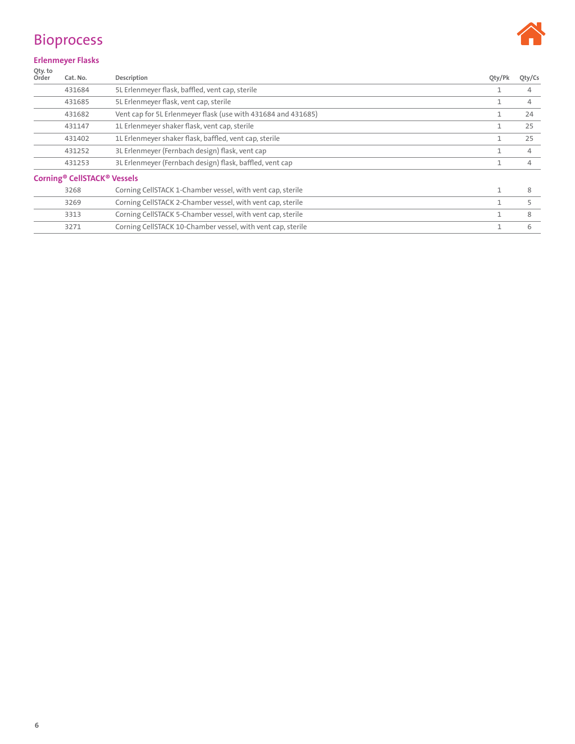

#### <span id="page-5-0"></span>Bioprocess

#### **Erlenmeyer Flasks**

| Oty. to<br>Order | Cat. No.                           | Description                                                   | Qty/Pk       | Qty/Cs |
|------------------|------------------------------------|---------------------------------------------------------------|--------------|--------|
|                  | 431684                             | 5L Erlenmeyer flask, baffled, vent cap, sterile               |              | 4      |
|                  | 431685                             | 5L Erlenmeyer flask, vent cap, sterile                        |              | 4      |
|                  | 431682                             | Vent cap for 5L Erlenmeyer flask (use with 431684 and 431685) | 1            | 24     |
|                  | 431147                             | 1L Erlenmeyer shaker flask, vent cap, sterile                 |              | 25     |
|                  | 431402                             | 1L Erlenmeyer shaker flask, baffled, vent cap, sterile        |              | 25     |
|                  | 431252                             | 3L Erlenmeyer (Fernbach design) flask, vent cap               |              | 4      |
|                  | 431253                             | 3L Erlenmeyer (Fernbach design) flask, baffled, vent cap      |              | 4      |
|                  | <b>Corning® CellSTACK® Vessels</b> |                                                               |              |        |
|                  | 3268                               | Corning CellSTACK 1-Chamber vessel, with vent cap, sterile    | $\mathbf{1}$ | 8      |
|                  | 3269                               | Corning CellSTACK 2-Chamber vessel, with vent cap, sterile    |              | 5      |
|                  | 3313                               | Corning CellSTACK 5-Chamber vessel, with vent cap, sterile    | 1            | 8      |
|                  | 3271                               | Corning CellSTACK 10-Chamber vessel, with vent cap, sterile   |              | 6      |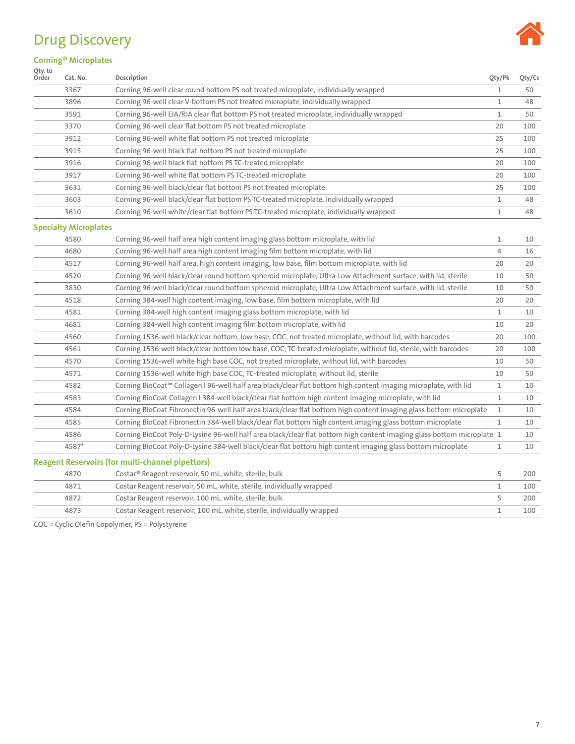### <span id="page-6-0"></span>Drug Discovery



#### **Corning® Microplates**

| Qty. to<br>Order | Cat. No.                     | Description                                                                                                            | Qty/Pk         | Qty/Cs |
|------------------|------------------------------|------------------------------------------------------------------------------------------------------------------------|----------------|--------|
|                  | 3367                         | Corning 96-well clear round bottom PS not treated microplate, individually wrapped                                     | 1              | 50     |
|                  | 3896                         | Corning 96-well clear V-bottom PS not treated microplate, individually wrapped                                         | 1              | 48     |
|                  | 3591                         | Corning 96-well EIA/RIA clear flat bottom PS not treated microplate, individually wrapped                              | 1              | 50     |
|                  | 3370                         | Corning 96-well clear flat bottom PS not treated microplate                                                            | 20             | 100    |
|                  | 3912                         | Corning 96-well white flat bottom PS not treated microplate                                                            | 25             | 100    |
|                  | 3915                         | Corning 96-well black flat bottom PS not treated microplate                                                            | 25             | 100    |
|                  | 3916                         | Corning 96-well black flat bottom PS TC-treated microplate                                                             | 20             | 100    |
|                  | 3917                         | Corning 96-well white flat bottom PS TC-treated microplate                                                             | 20             | 100    |
|                  | 3631                         | Corning 96-well black/clear flat bottom PS not treated microplate                                                      | 25             | 100    |
|                  | 3603                         | Corning 96-well black/clear flat bottom PS TC-treated microplate, individually wrapped                                 | 1              | 48     |
|                  | 3610                         | Corning 96-well white/clear flat bottom PS TC-treated microplate, individually wrapped                                 | 1              | 48     |
|                  | <b>Specialty Microplates</b> |                                                                                                                        |                |        |
|                  | 4580                         | Corning 96-well half area high content imaging glass bottom microplate, with lid                                       | 1              | 10     |
|                  | 4680                         | Corning 96-well half area high content imaging film bottom microplate, with lid                                        | $\overline{4}$ | 16     |
|                  | 4517                         | Corning 96-well half area, high content imaging, low base, film bottom microplate, with lid                            | 20             | 20     |
|                  | 4520                         | Corning 96-well black/clear round bottom spheroid microplate, Ultra-Low Attachment surface, with lid, sterile          | 10             | 50     |
|                  | 3830                         | Corning 96-well black/clear round bottom spheroid microplate, Ultra-Low Attachment surface, with lid, sterile          | 10             | 50     |
|                  | 4518                         | Corning 384-well high content imaging, low base, film bottom microplate, with lid                                      | 20             | 20     |
|                  | 4581                         | Corning 384-well high content imaging glass bottom microplate, with lid                                                | 1              | 10     |
|                  | 4681                         | Corning 384-well high content imaging film bottom microplate, with lid                                                 | 10             | 20     |
|                  | 4560                         | Corning 1536-well black/clear bottom, low base, COC, not treated microplate, without lid, with barcodes                | 20             | 100    |
|                  | 4561                         | Corning 1536-well black/clear bottom low base, COC, TC-treated microplate, without lid, sterile, with barcodes         | 20             | 100    |
|                  | 4570                         | Corning 1536-well white high base COC, not treated microplate, without lid, with barcodes                              | 10             | 50     |
|                  | 4571                         | Corning 1536-well white high base COC, TC-treated microplate, without lid, sterile                                     | 10             | 50     |
|                  | 4582                         | Corning BioCoat™ Collagen I 96-well half area black/clear flat bottom high content imaging microplate, with lid        | 1              | 10     |
|                  | 4583                         | Corning BioCoat Collagen I 384-well black/clear flat bottom high content imaging microplate, with lid                  | 1              | 10     |
|                  | 4584                         | Corning BioCoat Fibronectin 96-well half area black/clear flat bottom high content imaging glass bottom microplate     | $\mathbf{1}$   | 10     |
|                  | 4585                         | Corning BioCoat Fibronectin 384-well black/clear flat bottom high content imaging glass bottom microplate              | 1              | 10     |
|                  | 4586                         | Corning BioCoat Poly-D-Lysine 96-well half area black/clear flat bottom high content imaging glass bottom microplate 1 |                | 10     |
|                  | 4587*                        | Corning BioCoat Poly-D-Lysine 384-well black/clear flat bottom high content imaging glass bottom microplate            | 1              | 10     |
|                  |                              | <b>Reagent Reservoirs (for multi-channel pipettors)</b>                                                                |                |        |
|                  | 4870                         | Costar <sup>®</sup> Reagent reservoir, 50 mL, white, sterile, bulk                                                     | 5              | 200    |
|                  | 4871                         | Costar Reagent reservoir, 50 mL, white, sterile, individually wrapped                                                  | 1              | 100    |
|                  | 4872                         | Costar Reagent reservoir, 100 mL, white, sterile, bulk                                                                 | 5              | 200    |
|                  | 4873                         | Costar Reagent reservoir, 100 mL, white, sterile, individually wrapped                                                 | $\mathbf{1}$   | 100    |

COC = Cyclic Olefin Copolymer, PS = Polystyrene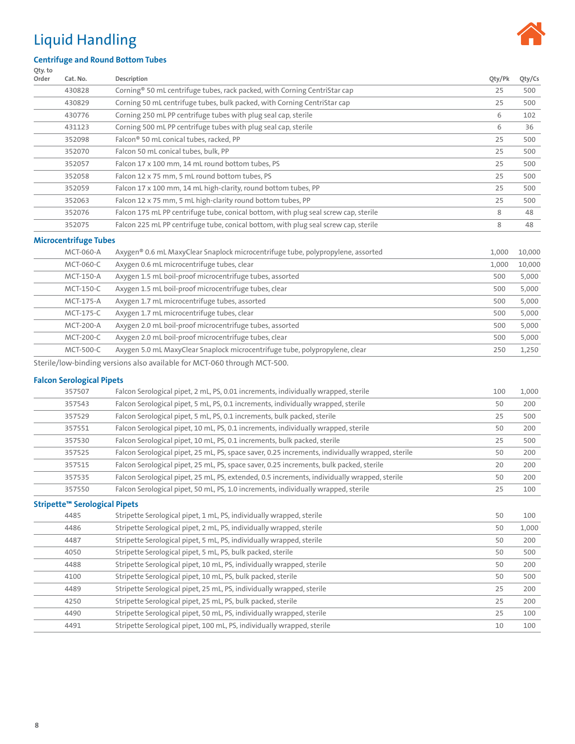### <span id="page-7-0"></span>Liquid Handling



#### **Centrifuge and Round Bottom Tubes**

| Qty. to |                              |                                                                                       |        |        |
|---------|------------------------------|---------------------------------------------------------------------------------------|--------|--------|
| Order   | Cat. No.                     | Description                                                                           | Qty/Pk | Qty/Cs |
|         | 430828                       | Corning <sup>®</sup> 50 mL centrifuge tubes, rack packed, with Corning CentriStar cap | 25     | 500    |
|         | 430829                       | Corning 50 mL centrifuge tubes, bulk packed, with Corning CentriStar cap              | 25     | 500    |
|         | 430776                       | Corning 250 mL PP centrifuge tubes with plug seal cap, sterile                        | 6      | 102    |
|         | 431123                       | Corning 500 mL PP centrifuge tubes with plug seal cap, sterile                        | 6      | 36     |
|         | 352098                       | Falcon <sup>®</sup> 50 mL conical tubes, racked, PP                                   | 25     | 500    |
|         | 352070                       | Falcon 50 mL conical tubes, bulk, PP                                                  | 25     | 500    |
|         | 352057                       | Falcon 17 x 100 mm, 14 mL round bottom tubes, PS                                      | 25     | 500    |
|         | 352058                       | Falcon 12 x 75 mm, 5 mL round bottom tubes, PS                                        | 25     | 500    |
|         | 352059                       | Falcon 17 x 100 mm, 14 mL high-clarity, round bottom tubes, PP                        | 25     | 500    |
|         | 352063                       | Falcon 12 x 75 mm, 5 mL high-clarity round bottom tubes, PP                           | 25     | 500    |
|         | 352076                       | Falcon 175 mL PP centrifuge tube, conical bottom, with plug seal screw cap, sterile   | 8      | 48     |
|         | 352075                       | Falcon 225 mL PP centrifuge tube, conical bottom, with plug seal screw cap, sterile   | 8      | 48     |
|         | <b>Microcentrifuge Tubes</b> |                                                                                       |        |        |
|         | MCT-060-A                    | Axygen® 0.6 mL MaxyClear Snaplock microcentrifuge tube, polypropylene, assorted       | 1,000  | 10,000 |
|         | MCT-060-C                    | Axygen 0.6 mL microcentrifuge tubes, clear                                            | 1,000  | 10,000 |
|         | MCT-150-A                    | Axygen 1.5 mL boil-proof microcentrifuge tubes, assorted                              | 500    | 5,000  |
|         | MCT-150-C                    | Axygen 1.5 mL boil-proof microcentrifuge tubes, clear                                 | 500    | 5,000  |

| MCT-150-C | Axygen 1.5 mL boil-proof microcentrifuge tubes, clear                       | 500 | 5.000 |
|-----------|-----------------------------------------------------------------------------|-----|-------|
| MCT-175-A | Axygen 1.7 mL microcentrifuge tubes, assorted                               | 500 | 5.000 |
| MCT-175-C | Axygen 1.7 mL microcentrifuge tubes, clear                                  | 500 | 5.000 |
| MCT-200-A | Axygen 2.0 mL boil-proof microcentrifuge tubes, assorted                    | 500 | 5.000 |
| MCT-200-C | Axygen 2.0 mL boil-proof microcentrifuge tubes, clear                       | 500 | 5.000 |
| MCT-500-C | Axygen 5.0 mL MaxyClear Snaplock microcentrifuge tube, polypropylene, clear | 250 | 1.250 |

Sterile/low-binding versions also available for MCT-060 through MCT-500.

#### **Falcon Serological Pipets**

| 357507                                    | Falcon Serological pipet, 2 mL, PS, 0.01 increments, individually wrapped, sterile               | 100 | 1,000 |
|-------------------------------------------|--------------------------------------------------------------------------------------------------|-----|-------|
| 357543                                    | Falcon Serological pipet, 5 mL, PS, 0.1 increments, individually wrapped, sterile                | 50  | 200   |
| 357529                                    | Falcon Serological pipet, 5 mL, PS, 0.1 increments, bulk packed, sterile                         | 25  | 500   |
| 357551                                    | Falcon Serological pipet, 10 mL, PS, 0.1 increments, individually wrapped, sterile               | 50  | 200   |
| 357530                                    | Falcon Serological pipet, 10 mL, PS, 0.1 increments, bulk packed, sterile                        | 25  | 500   |
| 357525                                    | Falcon Serological pipet, 25 mL, PS, space saver, 0.25 increments, individually wrapped, sterile | 50  | 200   |
| 357515                                    | Falcon Serological pipet, 25 mL, PS, space saver, 0.25 increments, bulk packed, sterile          | 20  | 200   |
| 357535                                    | Falcon Serological pipet, 25 mL, PS, extended, 0.5 increments, individually wrapped, sterile     | 50  | 200   |
| 357550                                    | Falcon Serological pipet, 50 mL, PS, 1.0 increments, individually wrapped, sterile               | 25  | 100   |
| Stripette <sup>™</sup> Serological Pipets |                                                                                                  |     |       |
| 4485                                      | Stripette Serological pipet, 1 mL, PS, individually wrapped, sterile                             | 50  | 100   |
| 4486                                      | Stripette Serological pipet, 2 mL, PS, individually wrapped, sterile                             | 50  | 1,000 |
| 4487                                      | Stripette Serological pipet, 5 mL, PS, individually wrapped, sterile                             | 50  | 200   |
| 4050                                      | Stripette Serological pipet, 5 mL, PS, bulk packed, sterile                                      | 50  | 500   |
| 4488                                      | Stripette Serological pipet, 10 mL, PS, individually wrapped, sterile                            | 50  | 200   |
| 4100                                      | Stripette Serological pipet, 10 mL, PS, bulk packed, sterile                                     | 50  | 500   |
| 4489                                      | Stripette Serological pipet, 25 mL, PS, individually wrapped, sterile                            | 25  | 200   |
| 4250                                      | Stripette Serological pipet, 25 mL, PS, bulk packed, sterile                                     | 25  | 200   |

 Stripette Serological pipet, 50 mL, PS, individually wrapped, sterile 25 100 4491 Stripette Serological pipet, 100 mL, PS, individually wrapped, sterile 10 100 100 100 100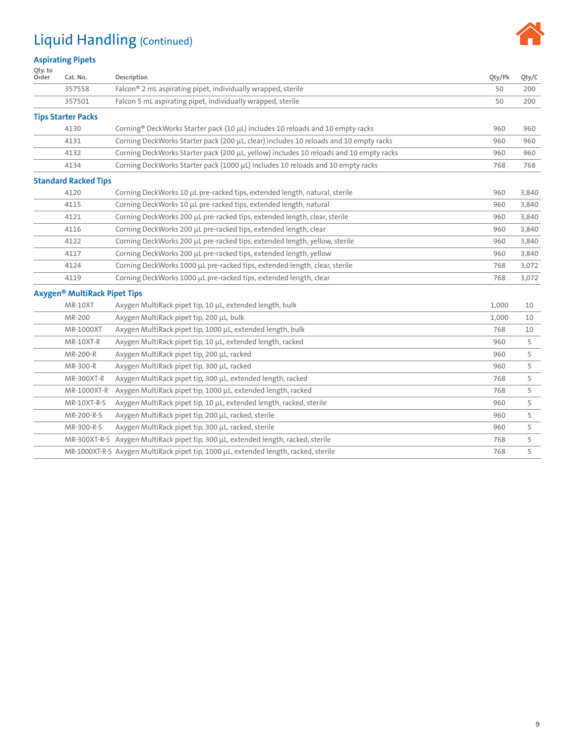# Liquid Handling (Continued)



#### **Aspirating Pipets**

| Qty. to<br>Order | Cat. No.                                 | Description                                                                                     | Oty/Pk | Qty/C |
|------------------|------------------------------------------|-------------------------------------------------------------------------------------------------|--------|-------|
|                  | 357558                                   | Falcon® 2 mL aspirating pipet, individually wrapped, sterile                                    | 50     | 200   |
|                  | 357501                                   | Falcon 5 mL aspirating pipet, individually wrapped, sterile                                     | 50     | 200   |
|                  | <b>Tips Starter Packs</b>                |                                                                                                 |        |       |
|                  | 4130                                     | Corning <sup>®</sup> DeckWorks Starter pack (10 $\mu$ L) includes 10 reloads and 10 empty racks | 960    | 960   |
|                  | 4131                                     | Corning DeckWorks Starter pack (200 µL, clear) includes 10 reloads and 10 empty racks           | 960    | 960   |
|                  | 4132                                     | Corning DeckWorks Starter pack (200 µL, yellow) includes 10 reloads and 10 empty racks          | 960    | 960   |
|                  | 4134                                     | Corning DeckWorks Starter pack (1000 µL) includes 10 reloads and 10 empty racks                 | 768    | 768   |
|                  | <b>Standard Racked Tips</b>              |                                                                                                 |        |       |
|                  | 4120                                     | Corning DeckWorks 10 µL pre-racked tips, extended length, natural, sterile                      | 960    | 3,840 |
|                  | 4115                                     | Corning DeckWorks 10 µL pre-racked tips, extended length, natural                               | 960    | 3,840 |
|                  | 4121                                     | Corning DeckWorks 200 µL pre-racked tips, extended length, clear, sterile                       | 960    | 3,840 |
|                  | 4116                                     | Corning DeckWorks 200 µL pre-racked tips, extended length, clear                                | 960    | 3,840 |
|                  | 4122                                     | Corning DeckWorks 200 µL pre-racked tips, extended length, yellow, sterile                      | 960    | 3,840 |
|                  | 4117                                     | Corning DeckWorks 200 µL pre-racked tips, extended length, yellow                               | 960    | 3,840 |
|                  | 4124                                     | Corning DeckWorks 1000 µL pre-racked tips, extended length, clear, sterile                      | 768    | 3,072 |
|                  | 4119                                     | Corning DeckWorks 1000 µL pre-racked tips, extended length, clear                               | 768    | 3,072 |
|                  | Axygen <sup>®</sup> MultiRack Pipet Tips |                                                                                                 |        |       |
|                  | <b>MR-10XT</b>                           | Axygen MultiRack pipet tip, 10 µL, extended length, bulk                                        | 1,000  | 10    |
|                  | MR-200                                   | Axygen MultiRack pipet tip, 200 µL, bulk                                                        | 1,000  | 10    |
|                  | MR-1000XT                                | Axygen MultiRack pipet tip, 1000 µL, extended length, bulk                                      | 768    | 10    |
|                  | MR-10XT-R                                | Axygen MultiRack pipet tip, 10 µL, extended length, racked                                      | 960    | 5     |
|                  | MR-200-R                                 | Axygen MultiRack pipet tip, 200 µL, racked                                                      | 960    | 5     |
|                  | MR-300-R                                 | Axygen MultiRack pipet tip, 300 µL, racked                                                      | 960    | 5     |
|                  | MR-300XT-R                               | Axygen MultiRack pipet tip, 300 µL, extended length, racked                                     | 768    | 5     |
|                  | MR-1000XT-R                              | Axygen MultiRack pipet tip, 1000 µL, extended length, racked                                    | 768    | 5     |
|                  | MR-10XT-R-S                              | Axygen MultiRack pipet tip, 10 µL, extended length, racked, sterile                             | 960    | 5     |
|                  | MR-200-R-S                               | Axygen MultiRack pipet tip, 200 µL, racked, sterile                                             | 960    | 5     |
|                  | MR-300-R-S                               | Axygen MultiRack pipet tip, 300 µL, racked, sterile                                             | 960    | 5     |
|                  | MR-300XT-R-S                             | Axygen MultiRack pipet tip, 300 µL, extended length, racked, sterile                            | 768    | 5     |
|                  |                                          | MR-1000XT-R-S Axygen MultiRack pipet tip, 1000 µL, extended length, racked, sterile             | 768    | 5     |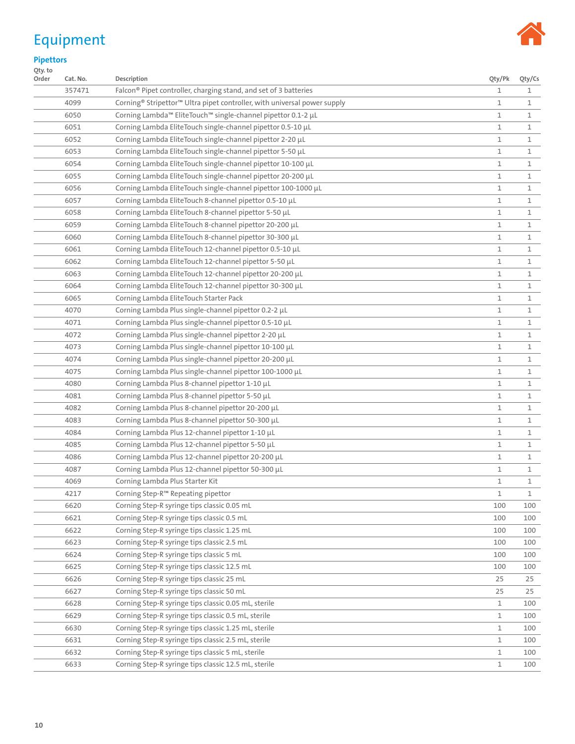# <span id="page-9-0"></span>Equipment



**Pipettors**

| Qty. to<br>Order | Cat. No. | Description                                                                                      | Qty/Pk       | Qty/Cs |
|------------------|----------|--------------------------------------------------------------------------------------------------|--------------|--------|
|                  | 357471   | Falcon <sup>®</sup> Pipet controller, charging stand, and set of 3 batteries                     | 1            | 1      |
|                  | 4099     | Corning <sup>®</sup> Stripettor <sup>™</sup> Ultra pipet controller, with universal power supply | 1            | 1      |
|                  | 6050     | Corning Lambda <sup>™</sup> EliteTouch <sup>™</sup> single-channel pipettor 0.1-2 µL             | 1            | 1      |
|                  | 6051     | Corning Lambda EliteTouch single-channel pipettor 0.5-10 µL                                      | 1            | 1      |
|                  | 6052     | Corning Lambda EliteTouch single-channel pipettor 2-20 µL                                        | 1            | 1      |
|                  | 6053     | Corning Lambda EliteTouch single-channel pipettor 5-50 µL                                        | 1            | 1      |
|                  | 6054     | Corning Lambda EliteTouch single-channel pipettor 10-100 µL                                      | 1            | 1      |
|                  | 6055     | Corning Lambda EliteTouch single-channel pipettor 20-200 μL                                      | 1            | 1      |
|                  | 6056     | Corning Lambda EliteTouch single-channel pipettor 100-1000 µL                                    | 1            | 1      |
|                  | 6057     | Corning Lambda EliteTouch 8-channel pipettor 0.5-10 µL                                           | 1            | 1      |
|                  | 6058     | Corning Lambda EliteTouch 8-channel pipettor 5-50 µL                                             | 1            | 1      |
|                  | 6059     | Corning Lambda EliteTouch 8-channel pipettor 20-200 µL                                           | 1            | 1      |
|                  | 6060     | Corning Lambda EliteTouch 8-channel pipettor 30-300 µL                                           | 1            | 1      |
|                  | 6061     | Corning Lambda EliteTouch 12-channel pipettor 0.5-10 μL                                          | 1            | 1      |
|                  | 6062     | Corning Lambda EliteTouch 12-channel pipettor 5-50 µL                                            | 1            | 1      |
|                  | 6063     | Corning Lambda EliteTouch 12-channel pipettor 20-200 µL                                          | 1            | 1      |
|                  | 6064     | Corning Lambda EliteTouch 12-channel pipettor 30-300 µL                                          | 1            | 1      |
|                  | 6065     | Corning Lambda EliteTouch Starter Pack                                                           | 1            | 1      |
|                  | 4070     | Corning Lambda Plus single-channel pipettor 0.2-2 µL                                             | 1            | 1      |
|                  | 4071     | Corning Lambda Plus single-channel pipettor 0.5-10 µL                                            | 1            | 1      |
|                  | 4072     | Corning Lambda Plus single-channel pipettor 2-20 µL                                              | 1            | 1      |
|                  | 4073     | Corning Lambda Plus single-channel pipettor 10-100 µL                                            | 1            | 1      |
|                  | 4074     | Corning Lambda Plus single-channel pipettor 20-200 µL                                            | 1            | 1      |
|                  | 4075     | Corning Lambda Plus single-channel pipettor 100-1000 µL                                          | 1            | 1      |
|                  | 4080     | Corning Lambda Plus 8-channel pipettor 1-10 µL                                                   | 1            | 1      |
|                  | 4081     | Corning Lambda Plus 8-channel pipettor 5-50 μL                                                   | 1            | 1      |
|                  | 4082     | Corning Lambda Plus 8-channel pipettor 20-200 µL                                                 | 1            | 1      |
|                  | 4083     | Corning Lambda Plus 8-channel pipettor 50-300 µL                                                 | 1            | 1      |
|                  | 4084     | Corning Lambda Plus 12-channel pipettor 1-10 µL                                                  | 1            | 1      |
|                  | 4085     | Corning Lambda Plus 12-channel pipettor 5-50 µL                                                  | 1            | 1      |
|                  | 4086     | Corning Lambda Plus 12-channel pipettor 20-200 µL                                                | 1            | 1      |
|                  | 4087     | Corning Lambda Plus 12-channel pipettor 50-300 µL                                                | 1            | 1      |
|                  | 4069     | Corning Lambda Plus Starter Kit                                                                  | 1            | 1      |
|                  | 4217     | Corning Step-R <sup>™</sup> Repeating pipettor                                                   | $\mathbf{1}$ | 1      |
|                  | 6620     | Corning Step-R syringe tips classic 0.05 mL                                                      | 100          | 100    |
|                  | 6621     | Corning Step-R syringe tips classic 0.5 mL                                                       | 100          | 100    |
|                  | 6622     | Corning Step-R syringe tips classic 1.25 mL                                                      | 100          | 100    |
|                  | 6623     | Corning Step-R syringe tips classic 2.5 mL                                                       | 100          | 100    |
|                  | 6624     | Corning Step-R syringe tips classic 5 mL                                                         | 100          | 100    |
|                  | 6625     | Corning Step-R syringe tips classic 12.5 mL                                                      | 100          | 100    |
|                  | 6626     | Corning Step-R syringe tips classic 25 mL                                                        | 25           | 25     |
|                  | 6627     | Corning Step-R syringe tips classic 50 mL                                                        | 25           | 25     |
|                  | 6628     | Corning Step-R syringe tips classic 0.05 mL, sterile                                             | 1            | 100    |
|                  | 6629     | Corning Step-R syringe tips classic 0.5 mL, sterile                                              | $\mathbf{1}$ | 100    |
|                  | 6630     | Corning Step-R syringe tips classic 1.25 mL, sterile                                             | $\mathbf{1}$ | 100    |
|                  | 6631     | Corning Step-R syringe tips classic 2.5 mL, sterile                                              | $\mathbf{1}$ | 100    |
|                  | 6632     | Corning Step-R syringe tips classic 5 mL, sterile                                                | 1            | 100    |
|                  | 6633     | Corning Step-R syringe tips classic 12.5 mL, sterile                                             | $\mathbf{1}$ | 100    |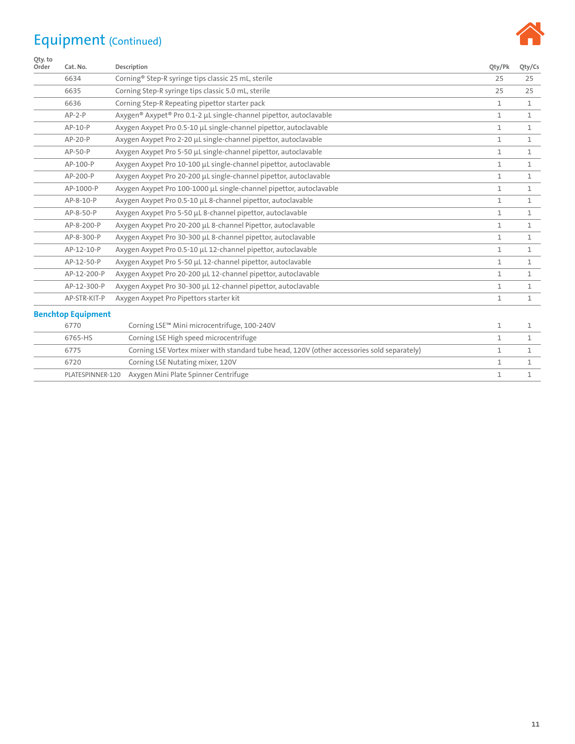# Equipment (Continued)



| Qty. to<br>Order | Cat. No.                  | Description                                                                                | Qty/Pk       | Qty/Cs       |
|------------------|---------------------------|--------------------------------------------------------------------------------------------|--------------|--------------|
|                  | 6634                      | Corning <sup>®</sup> Step-R syringe tips classic 25 mL, sterile                            | 25           | 25           |
|                  | 6635                      | Corning Step-R syringe tips classic 5.0 mL, sterile                                        | 25           | 25           |
|                  | 6636                      | Corning Step-R Repeating pipettor starter pack                                             | $\mathbf{1}$ | $\mathbf{1}$ |
|                  | $AP-2-P$                  | Axygen <sup>®</sup> Axypet <sup>®</sup> Pro 0.1-2 µL single-channel pipettor, autoclavable | 1            | 1            |
|                  | AP-10-P                   | Axygen Axypet Pro 0.5-10 µL single-channel pipettor, autoclavable                          | 1            | 1            |
|                  | $AP-2O-P$                 | Axygen Axypet Pro 2-20 µL single-channel pipettor, autoclavable                            | $\mathbf{1}$ | $\mathbf{1}$ |
|                  | AP-50-P                   | Axygen Axypet Pro 5-50 µL single-channel pipettor, autoclavable                            | $\mathbf{1}$ | $\mathbf{1}$ |
|                  | AP-100-P                  | Axygen Axypet Pro 10-100 µL single-channel pipettor, autoclavable                          | 1            | $\mathbf{1}$ |
|                  | AP-200-P                  | Axygen Axypet Pro 20-200 µL single-channel pipettor, autoclavable                          | $\mathbf{1}$ | $\mathbf{1}$ |
|                  | AP-1000-P                 | Axygen Axypet Pro 100-1000 µL single-channel pipettor, autoclavable                        | $\mathbf{1}$ | $\mathbf{1}$ |
|                  | AP-8-10-P                 | Axygen Axypet Pro 0.5-10 µL 8-channel pipettor, autoclavable                               | $\mathbf{1}$ | $\mathbf{1}$ |
|                  | AP-8-50-P                 | Axygen Axypet Pro 5-50 µL 8-channel pipettor, autoclavable                                 | $\mathbf{1}$ | $\mathbf{1}$ |
|                  | AP-8-200-P                | Axygen Axypet Pro 20-200 µL 8-channel Pipettor, autoclavable                               | 1            | 1            |
|                  | AP-8-300-P                | Axygen Axypet Pro 30-300 µL 8-channel pipettor, autoclavable                               | 1            | 1            |
|                  | AP-12-10-P                | Axygen Axypet Pro 0.5-10 µL 12-channel pipettor, autoclavable                              | $\mathbf{1}$ | $\mathbf{1}$ |
|                  | AP-12-50-P                | Axygen Axypet Pro 5-50 µL 12-channel pipettor, autoclavable                                | 1            | 1            |
|                  | AP-12-200-P               | Axygen Axypet Pro 20-200 µL 12-channel pipettor, autoclavable                              | $\mathbf{1}$ | 1            |
|                  | AP-12-300-P               | Axygen Axypet Pro 30-300 µL 12-channel pipettor, autoclavable                              | $\mathbf{1}$ | $\mathbf{1}$ |
|                  | AP-STR-KIT-P              | Axygen Axypet Pro Pipettors starter kit                                                    | $\mathbf{1}$ | $\mathbf{1}$ |
|                  | <b>Benchtop Equipment</b> |                                                                                            |              |              |
|                  | 6770                      | Corning LSE™ Mini microcentrifuge, 100-240V                                                | $\mathbf{1}$ | 1            |
|                  | 6765-HS                   | Corning LSE High speed microcentrifuge                                                     | $\mathbf{1}$ | $\mathbf{1}$ |
|                  | 6775                      | Corning LSE Vortex mixer with standard tube head, 120V (other accessories sold separately) | 1            | 1            |
|                  | 6720                      | Corning LSE Nutating mixer, 120V                                                           | 1            | 1            |
|                  | PLATESPINNER-120          | Axygen Mini Plate Spinner Centrifuge                                                       | $\mathbf{1}$ | $\mathbf{1}$ |
|                  |                           |                                                                                            |              |              |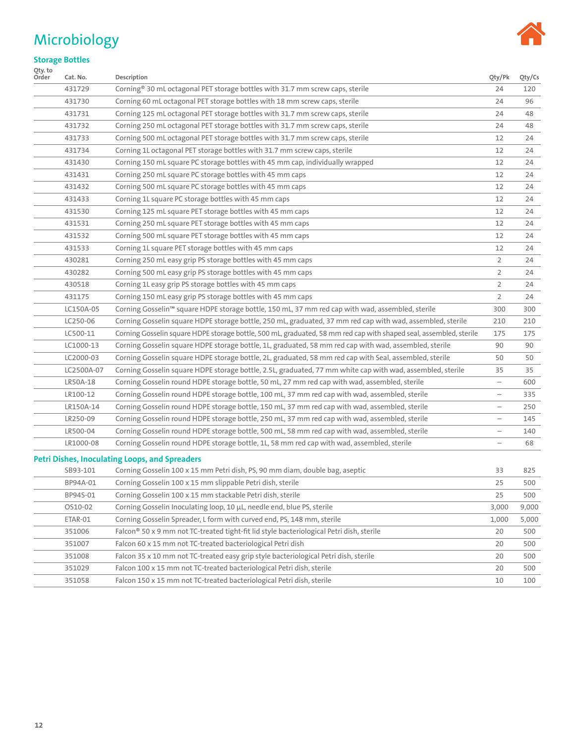### <span id="page-11-0"></span>Microbiology



#### **Storage Bottles**

| Qty. to<br>Order | Cat. No.   | Description                                                                                                        | Qty/Pk                            | Qty/Cs |
|------------------|------------|--------------------------------------------------------------------------------------------------------------------|-----------------------------------|--------|
|                  | 431729     | Corning <sup>®</sup> 30 mL octagonal PET storage bottles with 31.7 mm screw caps, sterile                          | 24                                | 120    |
|                  | 431730     | Corning 60 mL octagonal PET storage bottles with 18 mm screw caps, sterile                                         | 24                                | 96     |
|                  | 431731     | Corning 125 mL octagonal PET storage bottles with 31.7 mm screw caps, sterile                                      | 24                                | 48     |
|                  | 431732     | Corning 250 mL octagonal PET storage bottles with 31.7 mm screw caps, sterile                                      | 24                                | 48     |
|                  | 431733     | Corning 500 mL octagonal PET storage bottles with 31.7 mm screw caps, sterile                                      | 12                                | 24     |
|                  | 431734     | Corning 1L octagonal PET storage bottles with 31.7 mm screw caps, sterile                                          | 12                                | 24     |
|                  | 431430     | Corning 150 mL square PC storage bottles with 45 mm cap, individually wrapped                                      | 12                                | 24     |
|                  | 431431     | Corning 250 mL square PC storage bottles with 45 mm caps                                                           | 12                                | 24     |
|                  | 431432     | Corning 500 mL square PC storage bottles with 45 mm caps                                                           | 12                                | 24     |
|                  | 431433     | Corning 1L square PC storage bottles with 45 mm caps                                                               | 12                                | 24     |
|                  | 431530     | Corning 125 mL square PET storage bottles with 45 mm caps                                                          | 12                                | 24     |
|                  | 431531     | Corning 250 mL square PET storage bottles with 45 mm caps                                                          | 12                                | 24     |
|                  | 431532     | Corning 500 mL square PET storage bottles with 45 mm caps                                                          | 12                                | 24     |
|                  | 431533     | Corning 1L square PET storage bottles with 45 mm caps                                                              | 12                                | 24     |
|                  | 430281     | Corning 250 mL easy grip PS storage bottles with 45 mm caps                                                        | 2                                 | 24     |
|                  | 430282     | Corning 500 mL easy grip PS storage bottles with 45 mm caps                                                        | 2                                 | 24     |
|                  | 430518     | Corning 1L easy grip PS storage bottles with 45 mm caps                                                            | 2                                 | 24     |
|                  | 431175     | Corning 150 mL easy grip PS storage bottles with 45 mm caps                                                        | 2                                 | 24     |
|                  | LC150A-05  | Corning Gosselin™ square HDPE storage bottle, 150 mL, 37 mm red cap with wad, assembled, sterile                   | 300                               | 300    |
|                  | LC250-06   | Corning Gosselin square HDPE storage bottle, 250 mL, graduated, 37 mm red cap with wad, assembled, sterile         | 210                               | 210    |
|                  | LC500-11   | Corning Gosselin square HDPE storage bottle, 500 mL, graduated, 58 mm red cap with shaped seal, assembled, sterile | 175                               | 175    |
|                  | LC1000-13  | Corning Gosselin square HDPE storage bottle, 1L, graduated, 58 mm red cap with wad, assembled, sterile             | 90                                | 90     |
|                  | LC2000-03  | Corning Gosselin square HDPE storage bottle, 2L, graduated, 58 mm red cap with Seal, assembled, sterile            | 50                                | 50     |
|                  | LC2500A-07 | Corning Gosselin square HDPE storage bottle, 2.5L, graduated, 77 mm white cap with wad, assembled, sterile         | 35                                | 35     |
|                  | LR50A-18   | Corning Gosselin round HDPE storage bottle, 50 mL, 27 mm red cap with wad, assembled, sterile                      | $\overline{\phantom{0}}$          | 600    |
|                  | LR100-12   | Corning Gosselin round HDPE storage bottle, 100 mL, 37 mm red cap with wad, assembled, sterile                     | $\overbrace{\phantom{123221111}}$ | 335    |
|                  | LR150A-14  | Corning Gosselin round HDPE storage bottle, 150 mL, 37 mm red cap with wad, assembled, sterile                     |                                   | 250    |
|                  | LR250-09   | Corning Gosselin round HDPE storage bottle, 250 mL, 37 mm red cap with wad, assembled, sterile                     | $\overline{\phantom{m}}$          | 145    |
|                  | LR500-04   | Corning Gosselin round HDPE storage bottle, 500 mL, 58 mm red cap with wad, assembled, sterile                     | $\qquad \qquad -$                 | 140    |
|                  | LR1000-08  | Corning Gosselin round HDPE storage bottle, 1L, 58 mm red cap with wad, assembled, sterile                         | $\overline{\phantom{0}}$          | 68     |
|                  |            | <b>Petri Dishes, Inoculating Loops, and Spreaders</b>                                                              |                                   |        |
|                  | SB93-101   | Corning Gosselin 100 x 15 mm Petri dish, PS, 90 mm diam, double bag, aseptic                                       | 33                                | 825    |
|                  | BP94A-01   | Corning Gosselin 100 x 15 mm slippable Petri dish, sterile                                                         | 25                                | 500    |
|                  | BP94S-01   | Corning Gosselin 100 x 15 mm stackable Petri dish, sterile                                                         | 25                                | 500    |
|                  | OS10-02    | Corning Gosselin Inoculating loop, 10 µL, needle end, blue PS, sterile                                             | 3,000                             | 9,000  |
|                  | ETAR-01    | Corning Gosselin Spreader, L form with curved end, PS, 148 mm, sterile                                             | 1,000                             | 5,000  |
|                  | 351006     | Falcon® 50 x 9 mm not TC-treated tight-fit lid style bacteriological Petri dish, sterile                           | 20                                | 500    |
|                  | 351007     | Falcon 60 x 15 mm not TC-treated bacteriological Petri dish                                                        | 20                                | 500    |
|                  | 351008     | Falcon 35 x 10 mm not TC-treated easy grip style bacteriological Petri dish, sterile                               | 20                                | 500    |
|                  | 351029     | Falcon 100 x 15 mm not TC-treated bacteriological Petri dish, sterile                                              | 20                                | 500    |
|                  | 351058     | Falcon 150 x 15 mm not TC-treated bacteriological Petri dish, sterile                                              | 10                                | 100    |